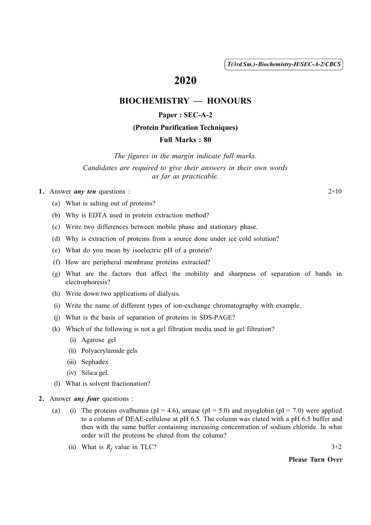( 1 ) *T(3rd Sm.)-Biochemistry-H*/*SEC-A-2*/*CBCS*

# 2020

# BIOCHEMISTRY — HONOURS

## Paper : SEC-A-2

#### (Protein Purification Techniques)

### Full Marks : 80

*The figures in the margin indicate full marks. Candidates are required to give their answers in their own words as far as practicable.*

#### 1. Answer *any ten* questions :  $2 \times 10$

- (a) What is salting out of proteins?
- (b) Why is EDTA used in protein extraction method?
- (c) Write two differences between mobile phase and stationary phase.
- (d) Why is extraction of proteins from a source done under ice cold solution?
- (e) What do you mean by isoelectric pH of a protein?
- (f) How are peripheral membrane proteins extracted?
- (g) What are the factors that affect the mobility and sharpness of separation of bands in electrophoresis?
- (h) Write down two applications of dialysis.
- (i) Write the name of different types of ion-exchange chromatography with example.
- (j) What is the basis of separation of proteins in SDS-PAGE?
- (k) Which of the following is not a gel filtration media used in gel filtration?
	- (i) Agarose gel
	- (ii) Polyacrylamide gels
	- (iii) Sephadex
	- (iv) Silica gel.
- (l) What is solvent fractionation?
- 2. Answer *any four* questions :
	- (a) (i) The proteins ovalbumin ( $pI = 4.6$ ), urease ( $pI = 5.0$ ) and myoglobin ( $pI = 7.0$ ) were applied to a column of DEAE-cellulose at pH 6.5. The column was eluted with a pH 6.5 buffer and then with the same buffer containing increasing concentration of sodium chloride. In what order will the proteins be eluted from the column?
		- (ii) What is  $R_f$  value in TLC? 3+2

#### Please Turn Over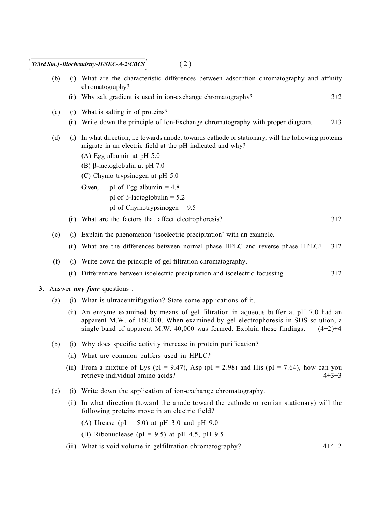| (2)<br>T(3rd Sm.)-Biochemistry-H/SEC-A-2/CBCS |       |                                                                                                                                                                                                                                                               |
|-----------------------------------------------|-------|---------------------------------------------------------------------------------------------------------------------------------------------------------------------------------------------------------------------------------------------------------------|
| (b)                                           | (i)   | What are the characteristic differences between adsorption chromatography and affinity<br>chromatography?                                                                                                                                                     |
|                                               | (ii)  | Why salt gradient is used in ion-exchange chromatography?<br>$3 + 2$                                                                                                                                                                                          |
| (c)                                           | (i)   | What is salting in of proteins?                                                                                                                                                                                                                               |
|                                               | (ii)  | Write down the principle of Ion-Exchange chromatography with proper diagram.<br>$2 + 3$                                                                                                                                                                       |
| (d)                                           | (i)   | In what direction, i.e towards anode, towards cathode or stationary, will the following proteins<br>migrate in an electric field at the pH indicated and why?                                                                                                 |
|                                               |       | (A) Egg albumin at pH $5.0$<br>(B) $\beta$ -lactoglobulin at pH 7.0                                                                                                                                                                                           |
|                                               |       | (C) Chymo trypsinogen at pH 5.0                                                                                                                                                                                                                               |
|                                               |       | pI of Egg albumin = $4.8$<br>Given,                                                                                                                                                                                                                           |
|                                               |       | pI of $\beta$ -lactoglobulin = 5.2                                                                                                                                                                                                                            |
|                                               |       | pI of Chymotrypsinogen = $9.5$                                                                                                                                                                                                                                |
|                                               | (ii)  | What are the factors that affect electrophoresis?<br>$3+2$                                                                                                                                                                                                    |
| (e)                                           | (i)   | Explain the phenomenon 'isoelectric precipitation' with an example.                                                                                                                                                                                           |
|                                               | (ii)  | What are the differences between normal phase HPLC and reverse phase HPLC?<br>$3+2$                                                                                                                                                                           |
| (f)                                           | (i)   | Write down the principle of gel filtration chromatography.                                                                                                                                                                                                    |
|                                               | (ii)  | Differentiate between isoelectric precipitation and isoelectric focussing.<br>$3 + 2$                                                                                                                                                                         |
| 3. Answer <i>any four</i> questions :         |       |                                                                                                                                                                                                                                                               |
| (a)                                           | (i)   | What is ultracentrifugation? State some applications of it.                                                                                                                                                                                                   |
|                                               | (i)   | An enzyme examined by means of gel filtration in aqueous buffer at pH 7.0 had an<br>apparent M.W. of 160,000. When examined by gel electrophoresis in SDS solution, a<br>single band of apparent M.W. 40,000 was formed. Explain these findings.<br>$(4+2)+4$ |
| (b)                                           | (i)   | Why does specific activity increase in protein purification?                                                                                                                                                                                                  |
|                                               | (i)   | What are common buffers used in HPLC?                                                                                                                                                                                                                         |
|                                               | (iii) | From a mixture of Lys (pI = 9.47), Asp (pI = 2.98) and His (pI = 7.64), how can you<br>retrieve individual amino acids?<br>$4+3+3$                                                                                                                            |
| (c)                                           | (i)   | Write down the application of ion-exchange chromatography.                                                                                                                                                                                                    |
|                                               | (i)   | In what direction (toward the anode toward the cathode or remian stationary) will the<br>following proteins move in an electric field?                                                                                                                        |
|                                               |       | (A) Urease ( $pI = 5.0$ ) at $pH$ 3.0 and $pH$ 9.0                                                                                                                                                                                                            |
|                                               |       | (B) Ribonuclease (pI = 9.5) at pH 4.5, pH 9.5                                                                                                                                                                                                                 |
|                                               | (111) | What is void volume in gelfiltration chromatography?<br>$4+4+2$                                                                                                                                                                                               |